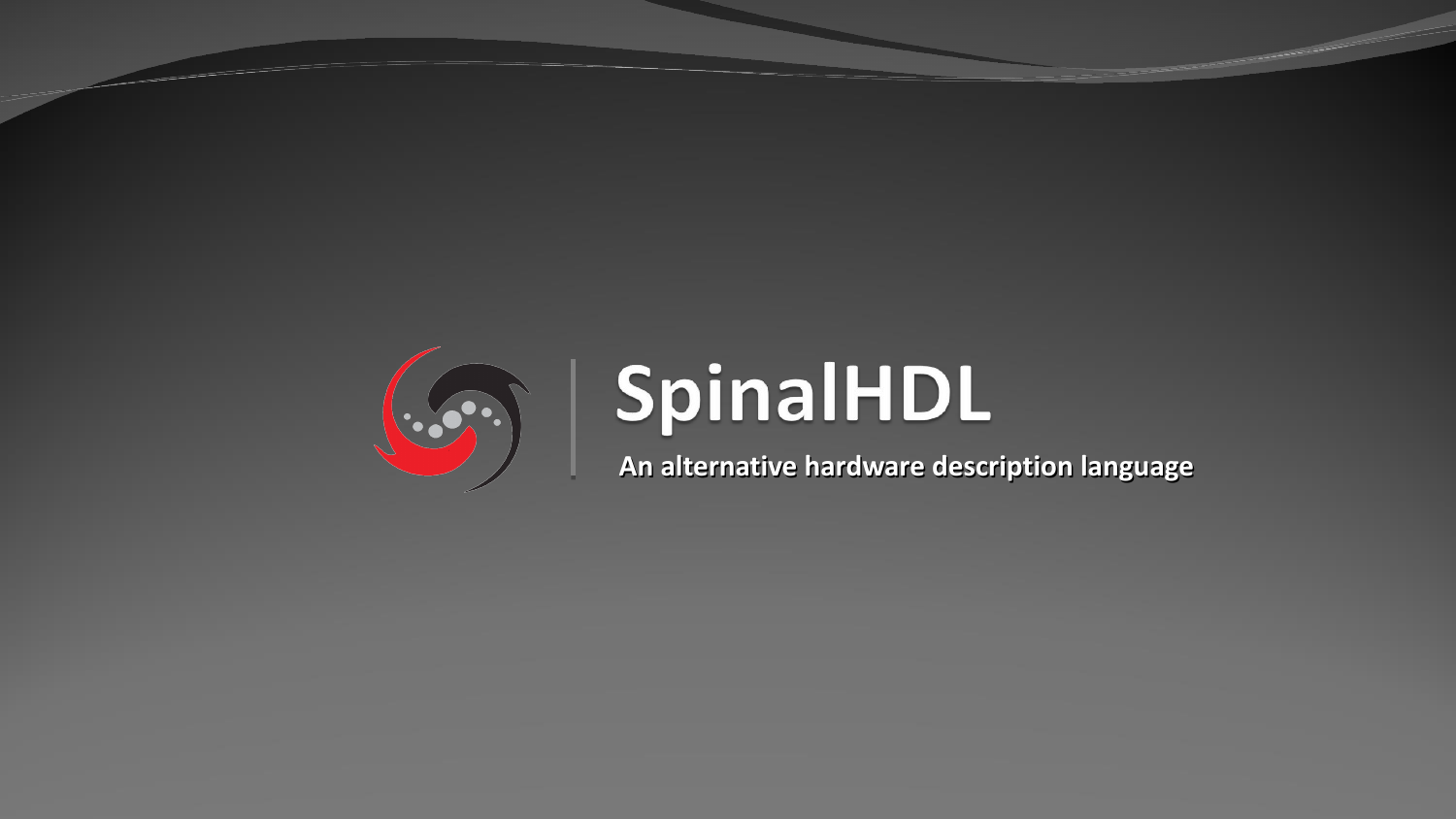

# SpinalHDL

**An alternative hardware description language**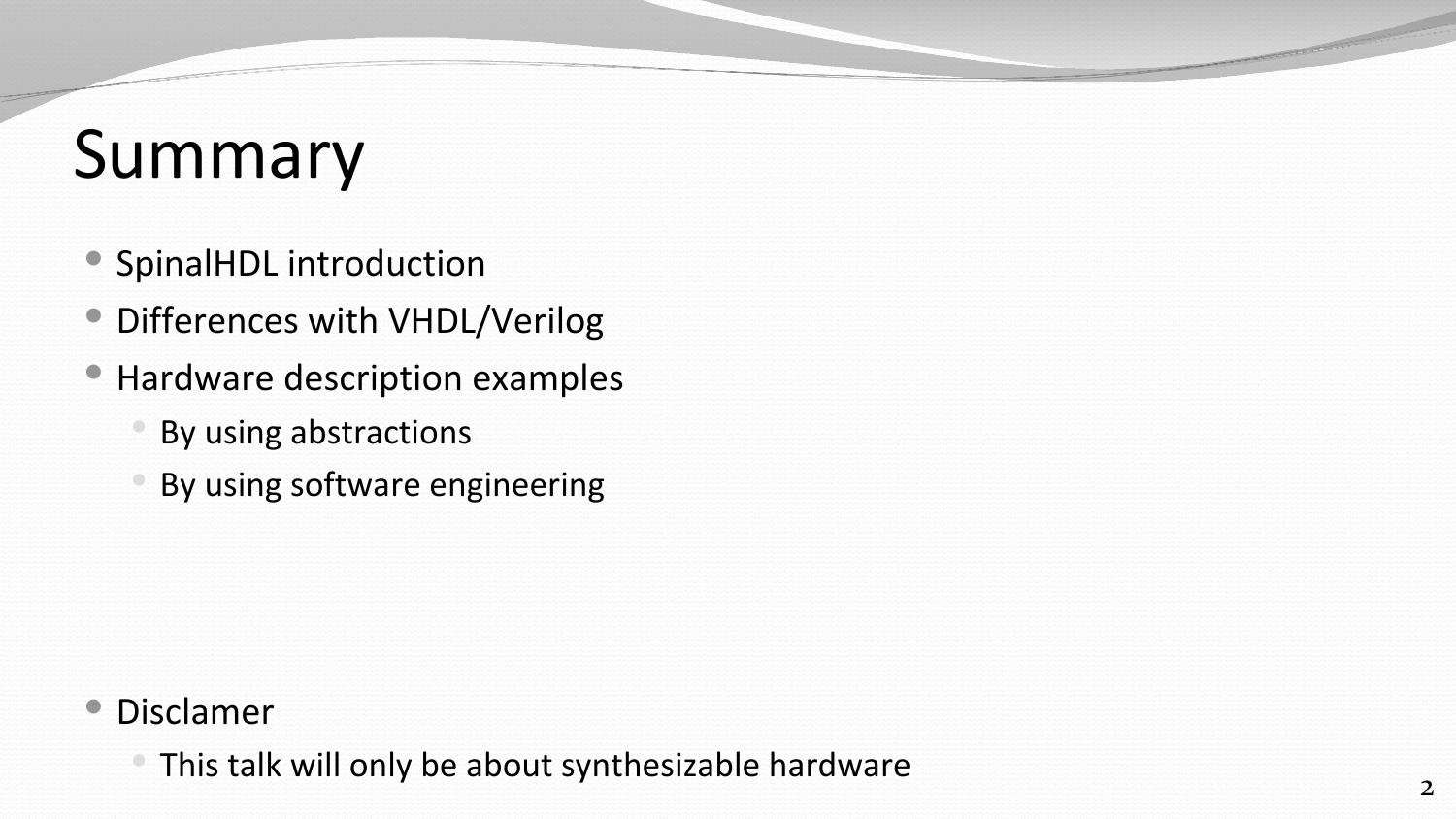# Summary

- SpinalHDL introduction
- Differences with VHDL/Verilog
- Hardware description examples
	- By using abstractions
	- By using software engineering

#### Disclamer

This talk will only be about synthesizable hardware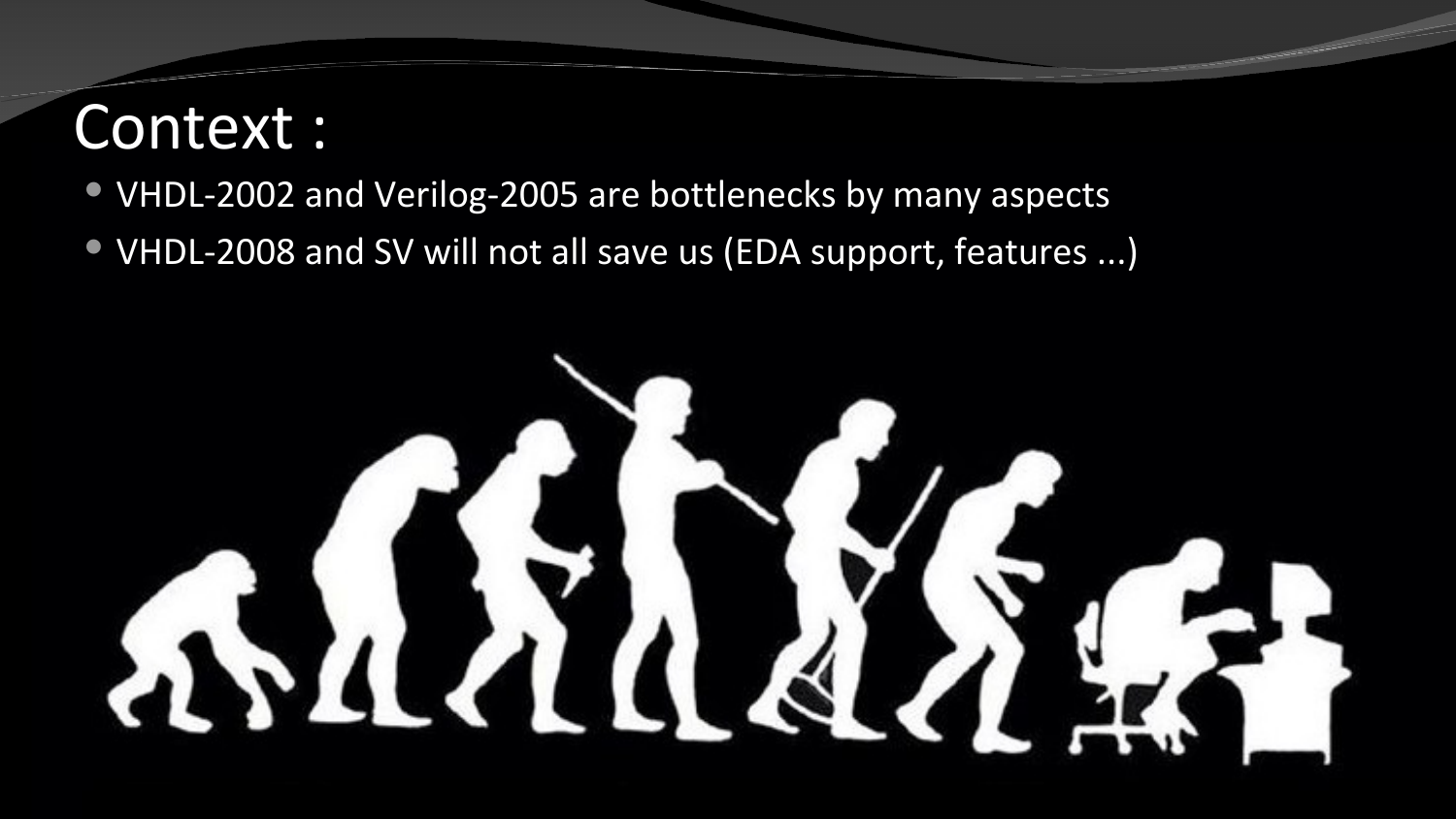## Context :

#### VHDL-2002 and Verilog-2005 are bottlenecks by many aspects

VHDL-2008 and SV will not all save us (EDA support, features ...)

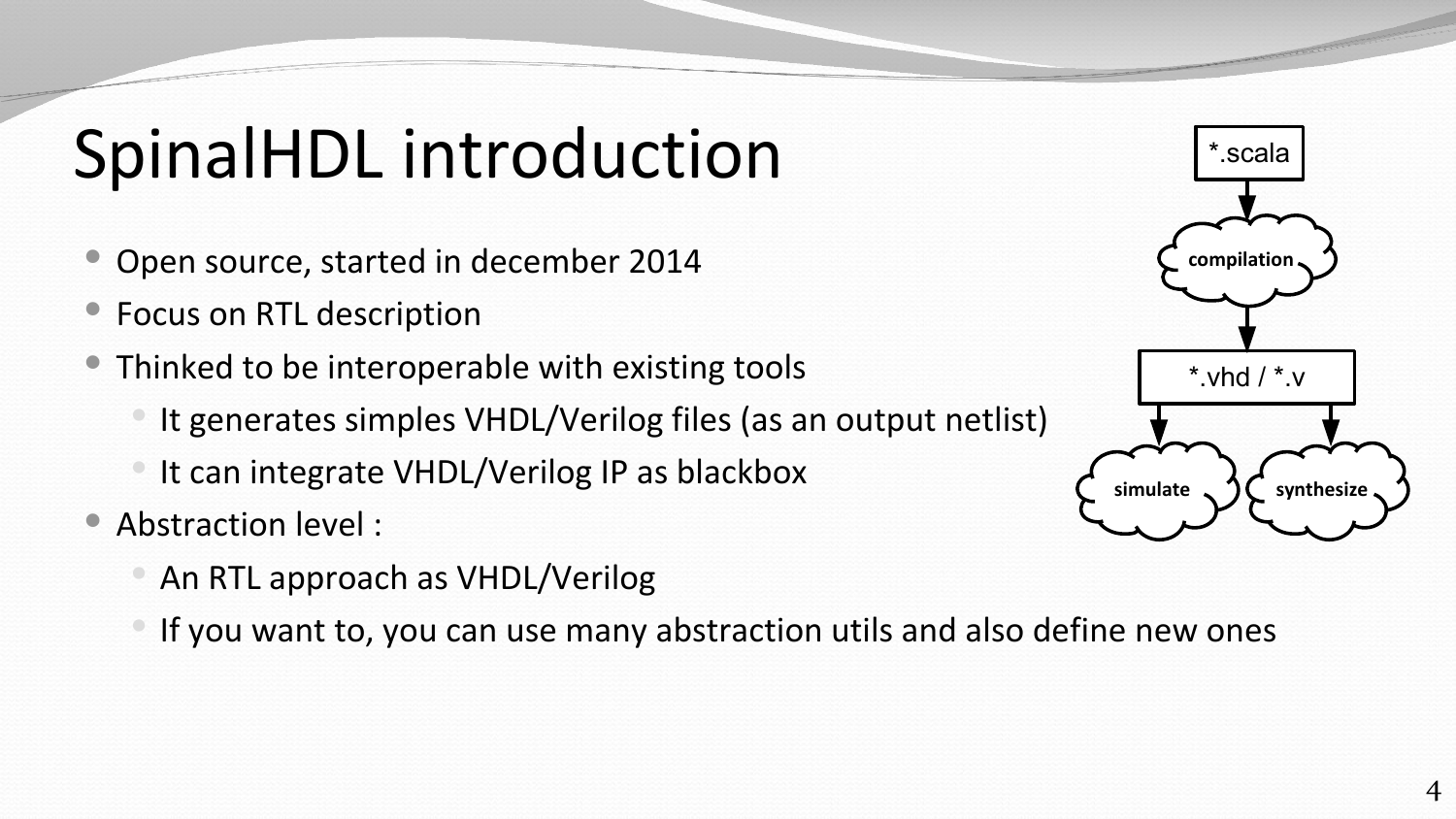# SpinalHDL introduction

- Open source, started in december 2014
- Focus on RTL description
- Thinked to be interoperable with existing tools
	- It generates simples VHDL/Verilog files (as an output netlist)
	- It can integrate VHDL/Verilog IP as blackbox
- Abstraction level :
	- An RTL approach as VHDL/Verilog
	- If you want to, you can use many abstraction utils and also define new ones

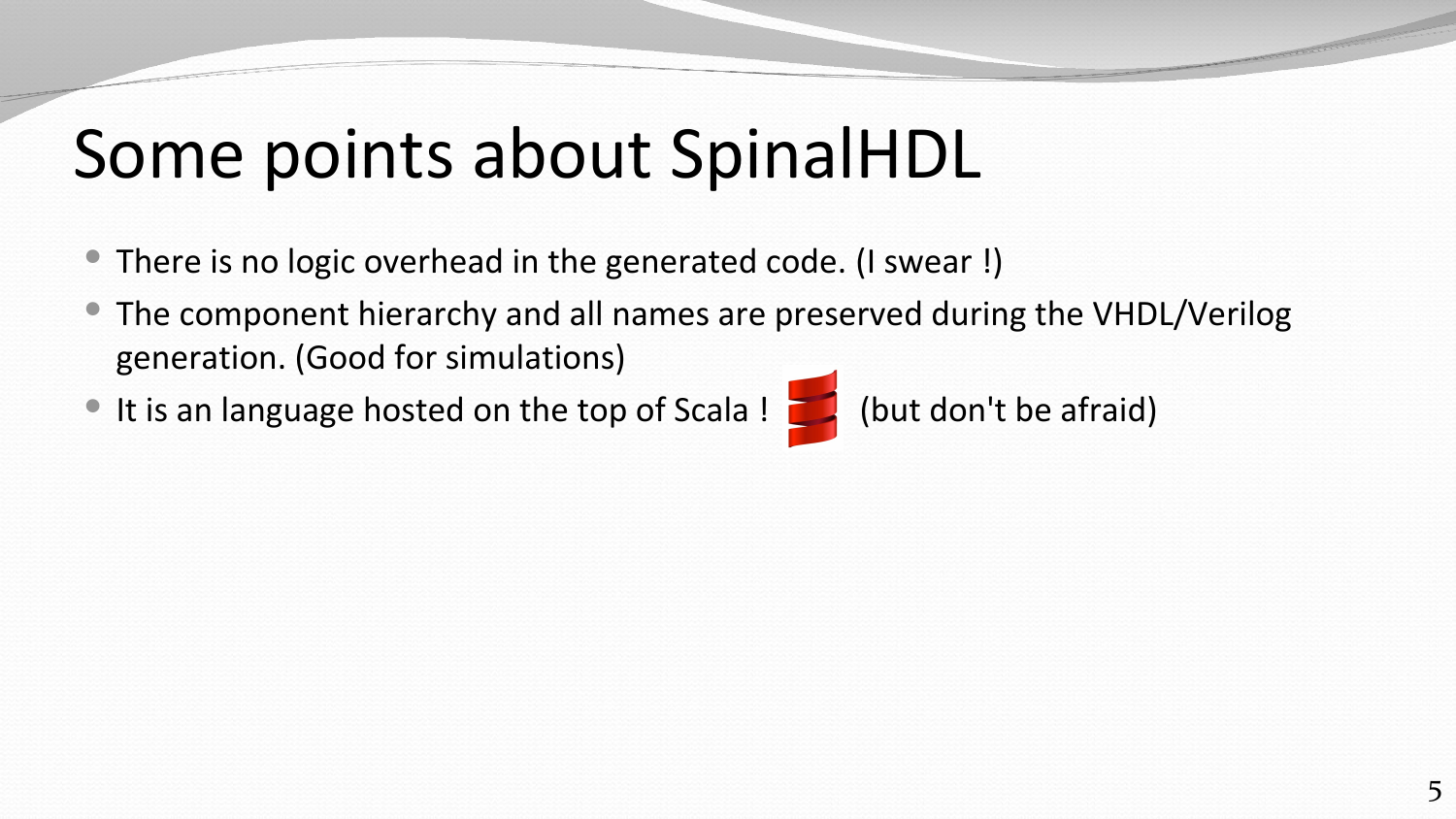# Some points about SpinalHDL

- There is no logic overhead in the generated code. (I swear !)
- The component hierarchy and all names are preserved during the VHDL/Verilog generation. (Good for simulations)
- It is an language hosted on the top of Scala ! (but don't be afraid)

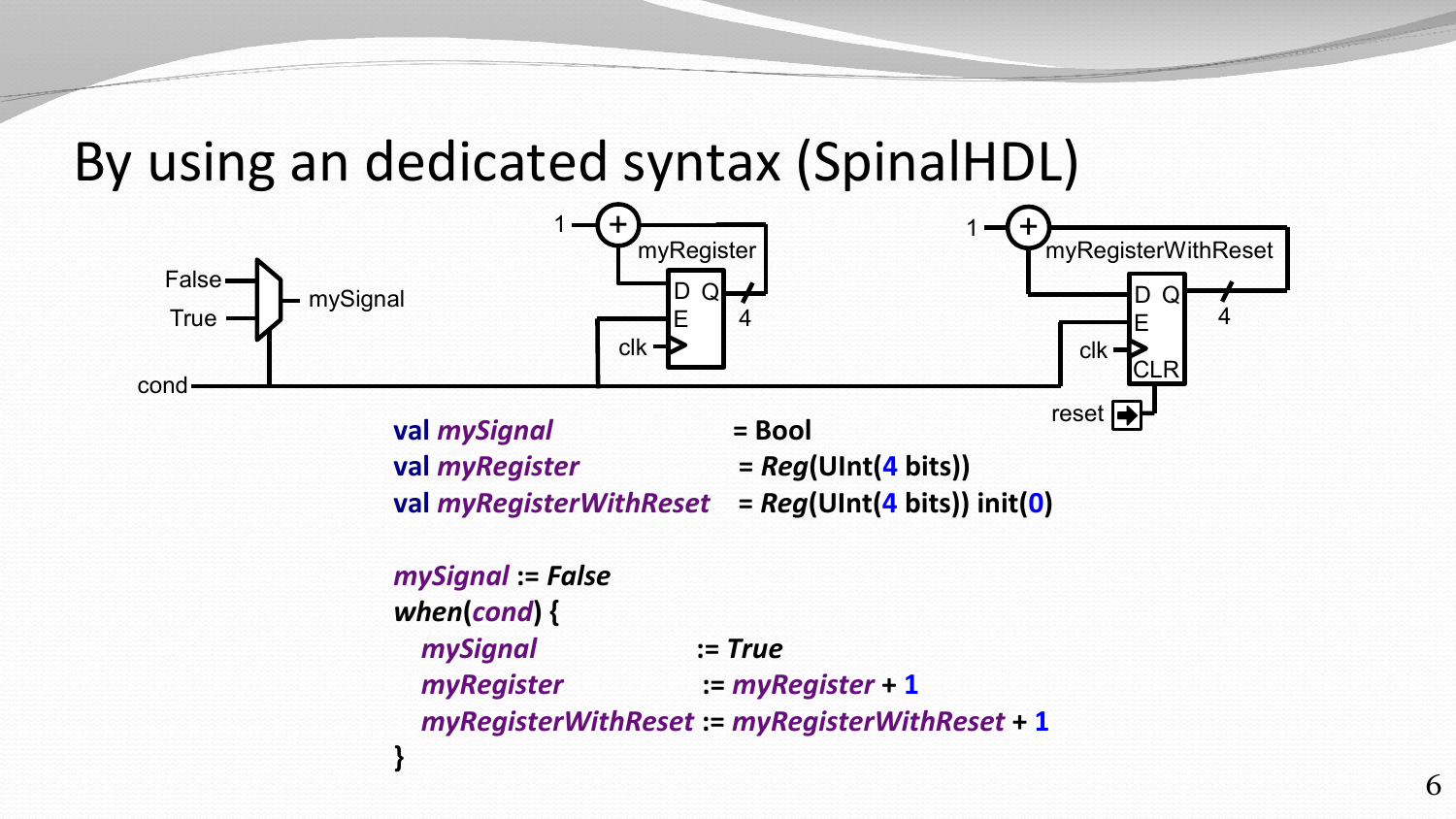By using an dedicated syntax (SpinalHDL)

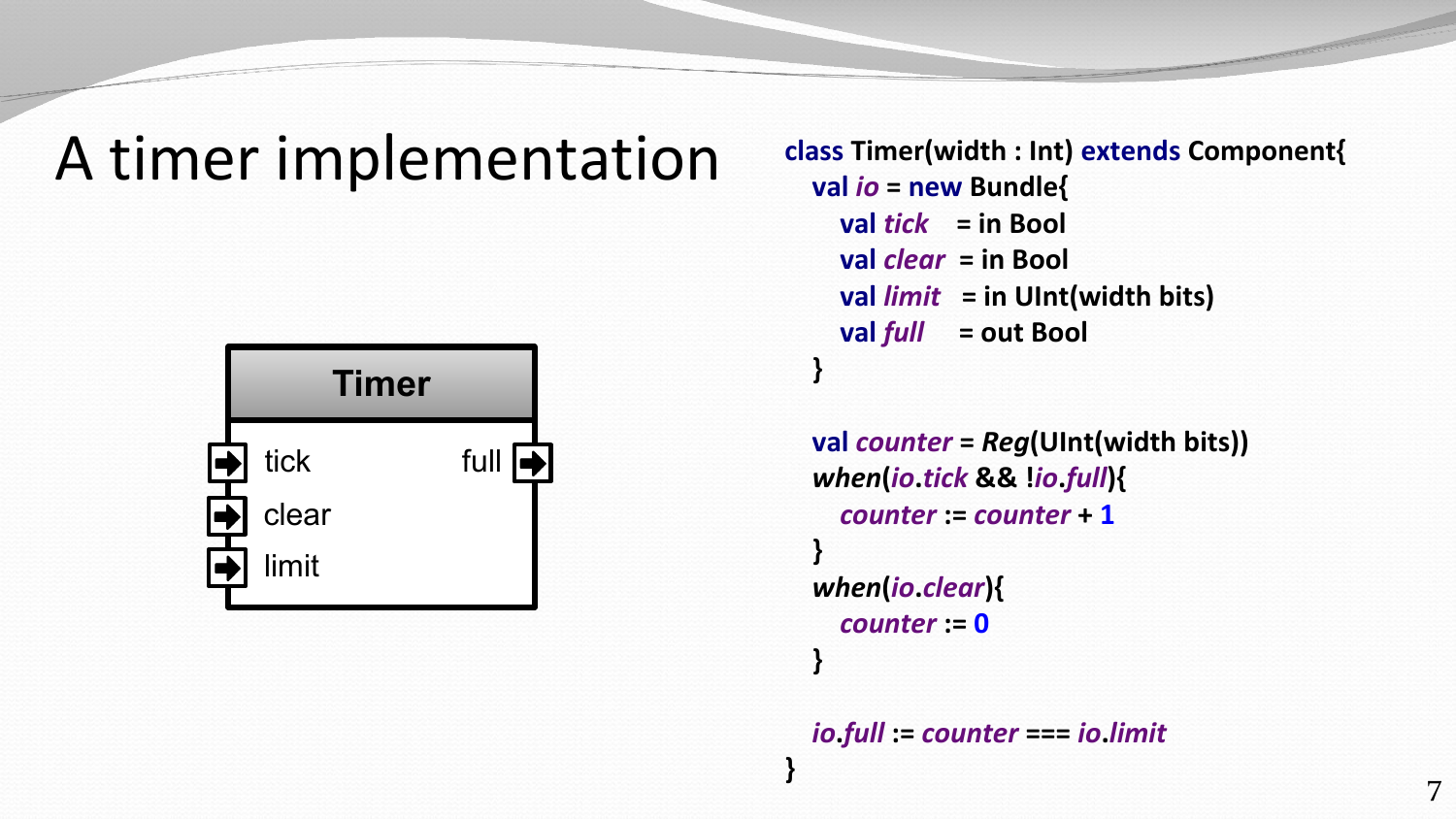### A timer implementation



**class Timer(width : Int) extends Component{ val** *io* **= new Bundle{ val** *tick* **= in Bool val** *clear* **= in Bool val** *limit* **= in UInt(width bits) val** *full* **= out Bool }**

```
 val counter = Reg(UInt(width bits))
  when(io.tick && !io.full){
     counter := counter + 1
 }
  when(io.clear){
     counter := 0
 }
```
*io***.***full* **:=** *counter* **===** *io***.***limit*

**}**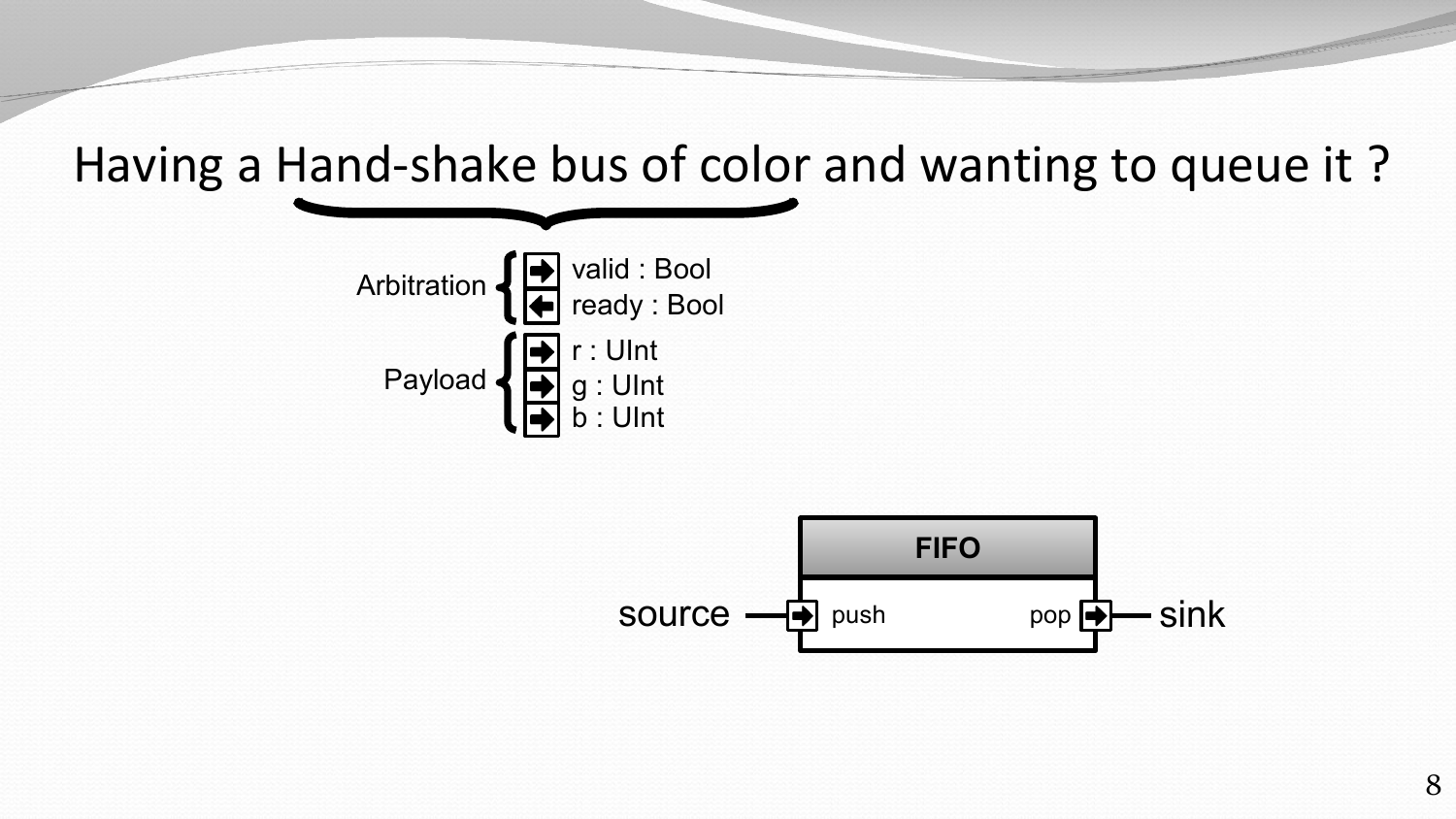Having a Hand-shake bus of color and wanting to queue it ?



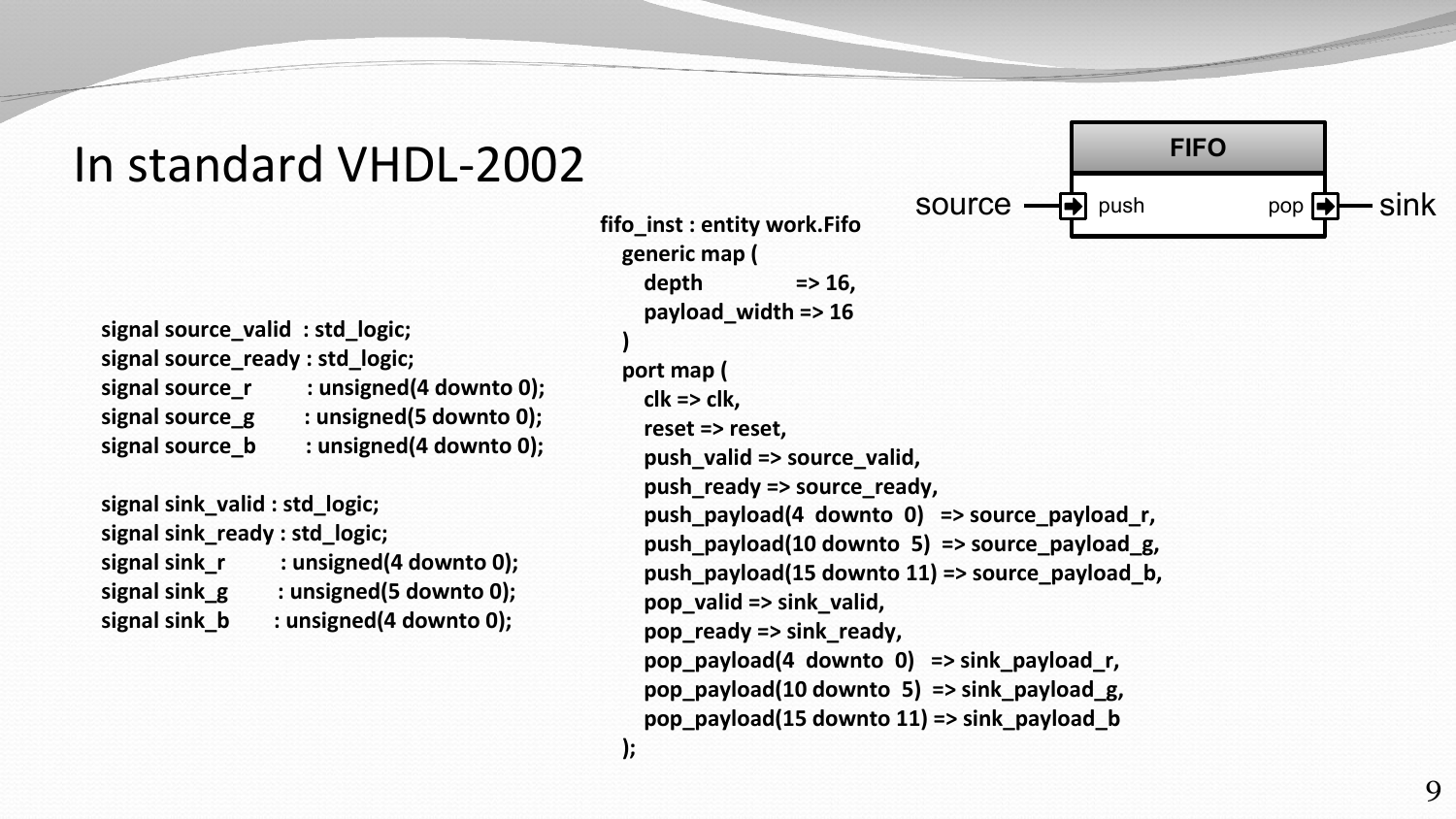### In standard VHDL-2002

 **signal source\_valid : std\_logic; signal source\_ready : std\_logic; signal source\_r : unsigned(4 downto 0); signal source\_g : unsigned(5 downto 0); signal source\_b : unsigned(4 downto 0); signal sink\_valid : std\_logic; signal sink\_ready : std\_logic; signal sink\_r : unsigned(4 downto 0); signal sink\_g : unsigned(5 downto 0);**

 **signal sink\_b : unsigned(4 downto 0);**

 **fifo\_inst : entity work.Fifo generic map ( depth => 16, payload\_width => 16 ) port map ( clk => clk, reset => reset, push\_valid => source\_valid, push\_ready => source\_ready, push\_payload(4 downto 0) => source\_payload\_r, push\_payload(10 downto 5) => source\_payload\_g, push\_payload(15 downto 11) => source\_payload\_b, pop\_valid => sink\_valid, pop\_ready => sink\_ready, pop\_payload(4 downto 0) => sink\_payload\_r, pop\_payload(10 downto 5) => sink\_payload\_g, pop\_payload(15 downto 11) => sink\_payload\_b**

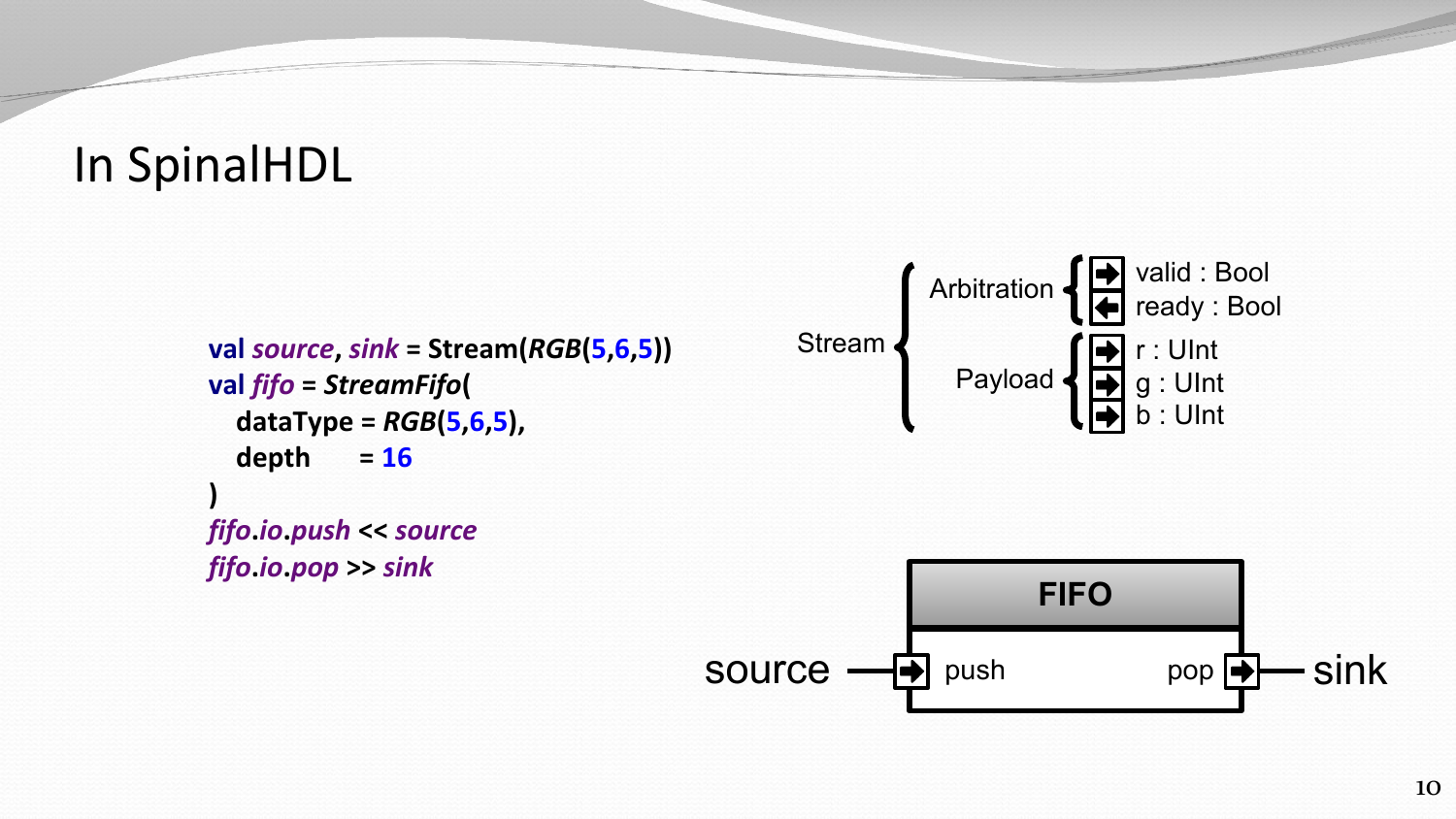### In SpinalHDL

```
val source, sink = Stream(RGB(5,6,5))
val fifo = StreamFifo(
   dataType = RGB(5,6,5),
   depth = 16
)
fifo.io.push << source
fifo.io.pop >> sink
```


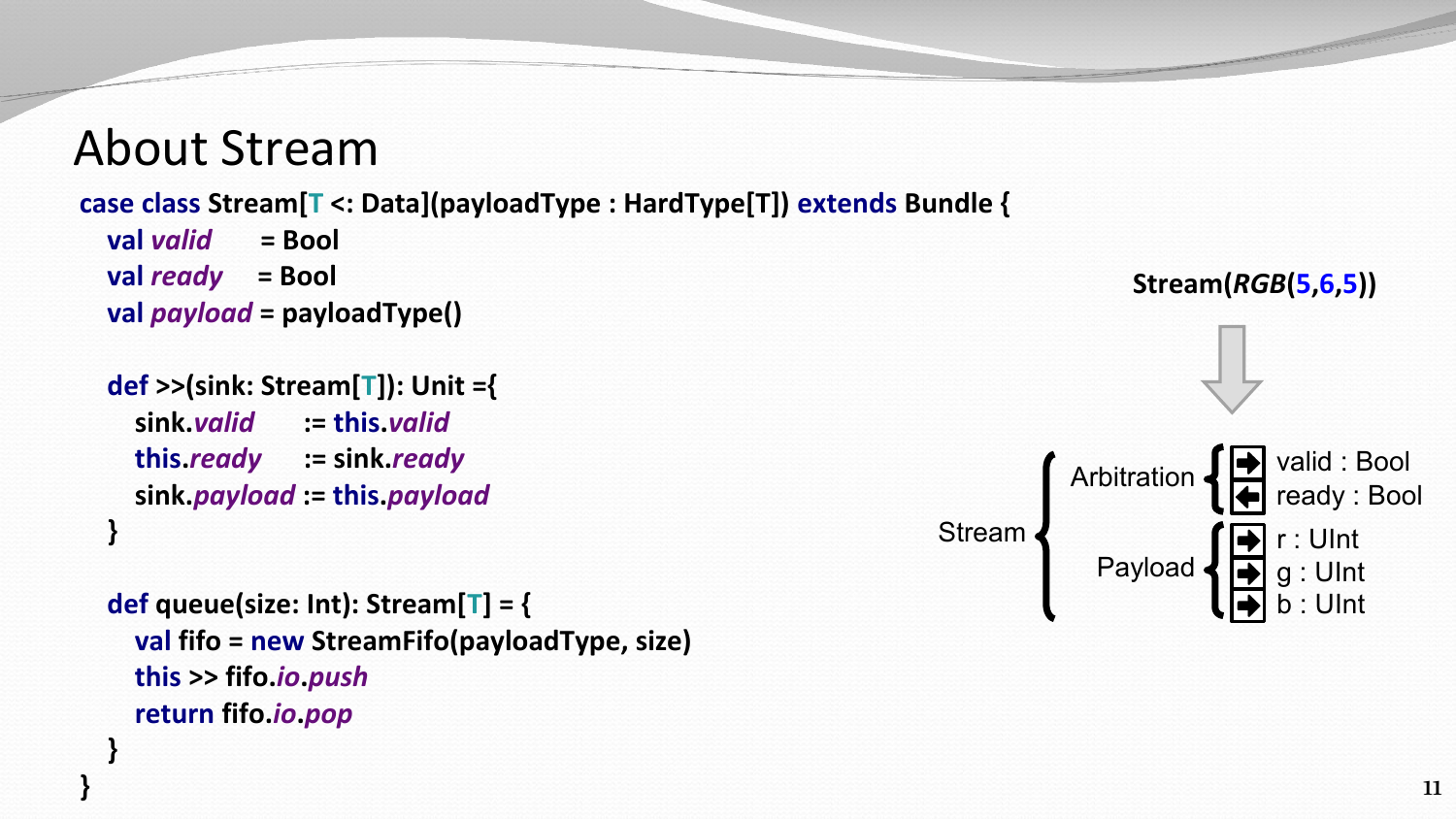### About Stream

**}**

#### **case class Stream[T <: Data](payloadType : HardType[T]) extends Bundle {**

```
 val valid = Bool
 val ready = Bool
 val payload = payloadType()
```

```
 def >>(sink: Stream[T]): Unit ={
     sink.valid := this.valid
     this.ready := sink.ready
     sink.payload := this.payload
 }
```

```
 def queue(size: Int): Stream[T] = {
     val fifo = new StreamFifo(payloadType, size)
     this >> fifo.io.push
     return fifo.io.pop
 }
```
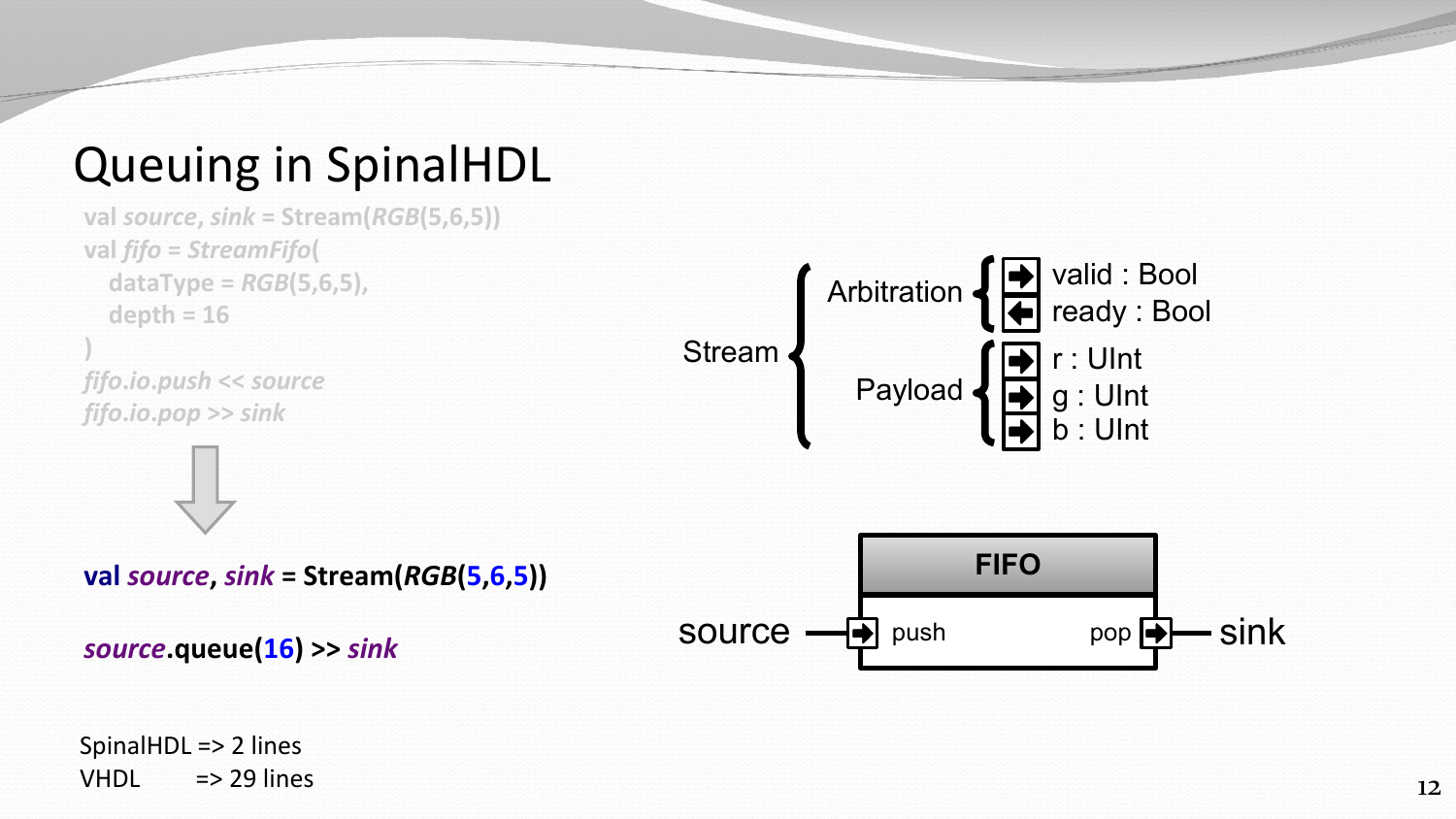### Queuing in SpinalHDL



SpinalHDL => 2 lines VHDL  $\Rightarrow$  29 lines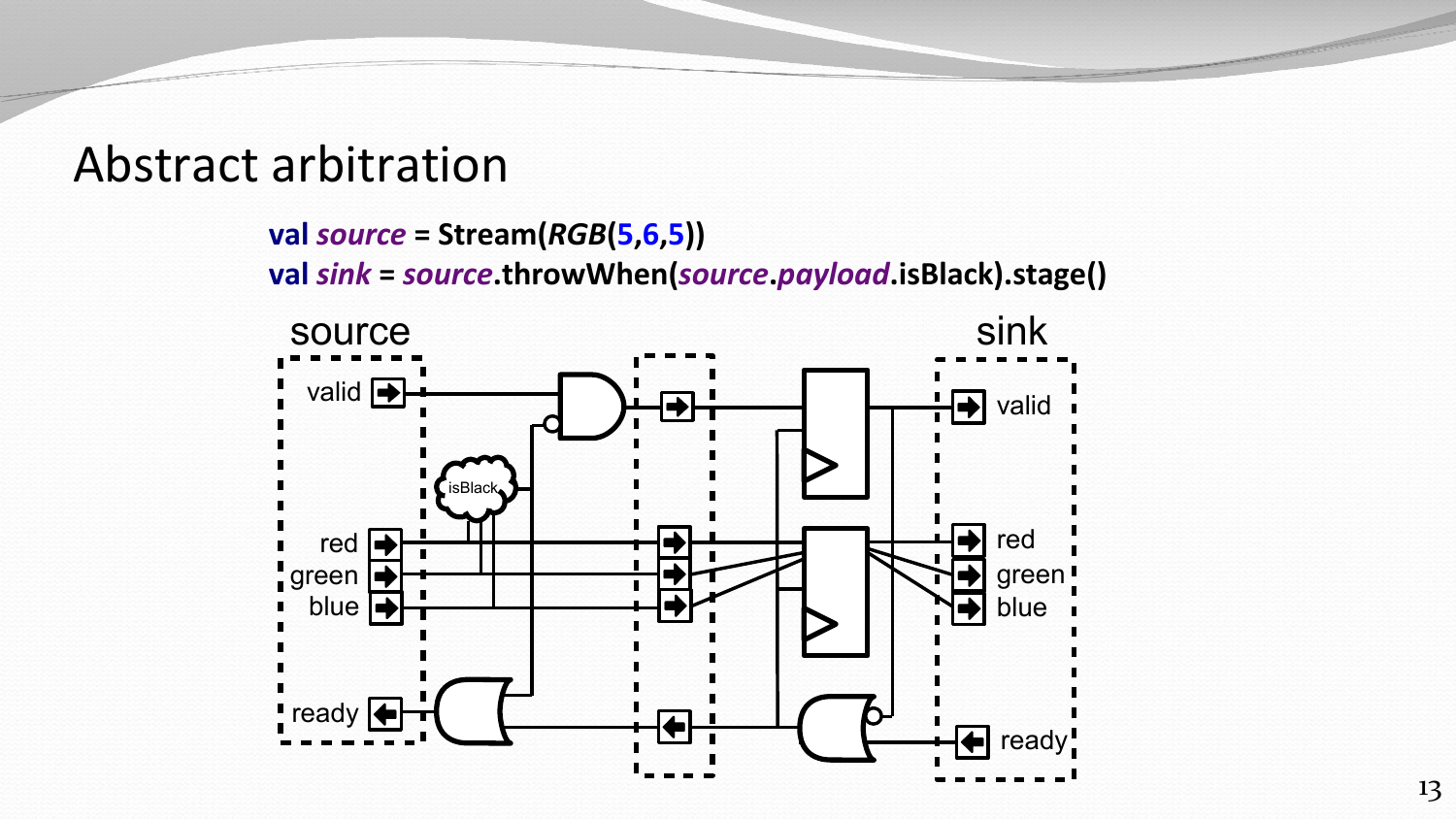### Abstract arbitration

```
val source = Stream(RGB(5,6,5))
val sink = source.throwWhen(source.payload.isBlack).stage()
```
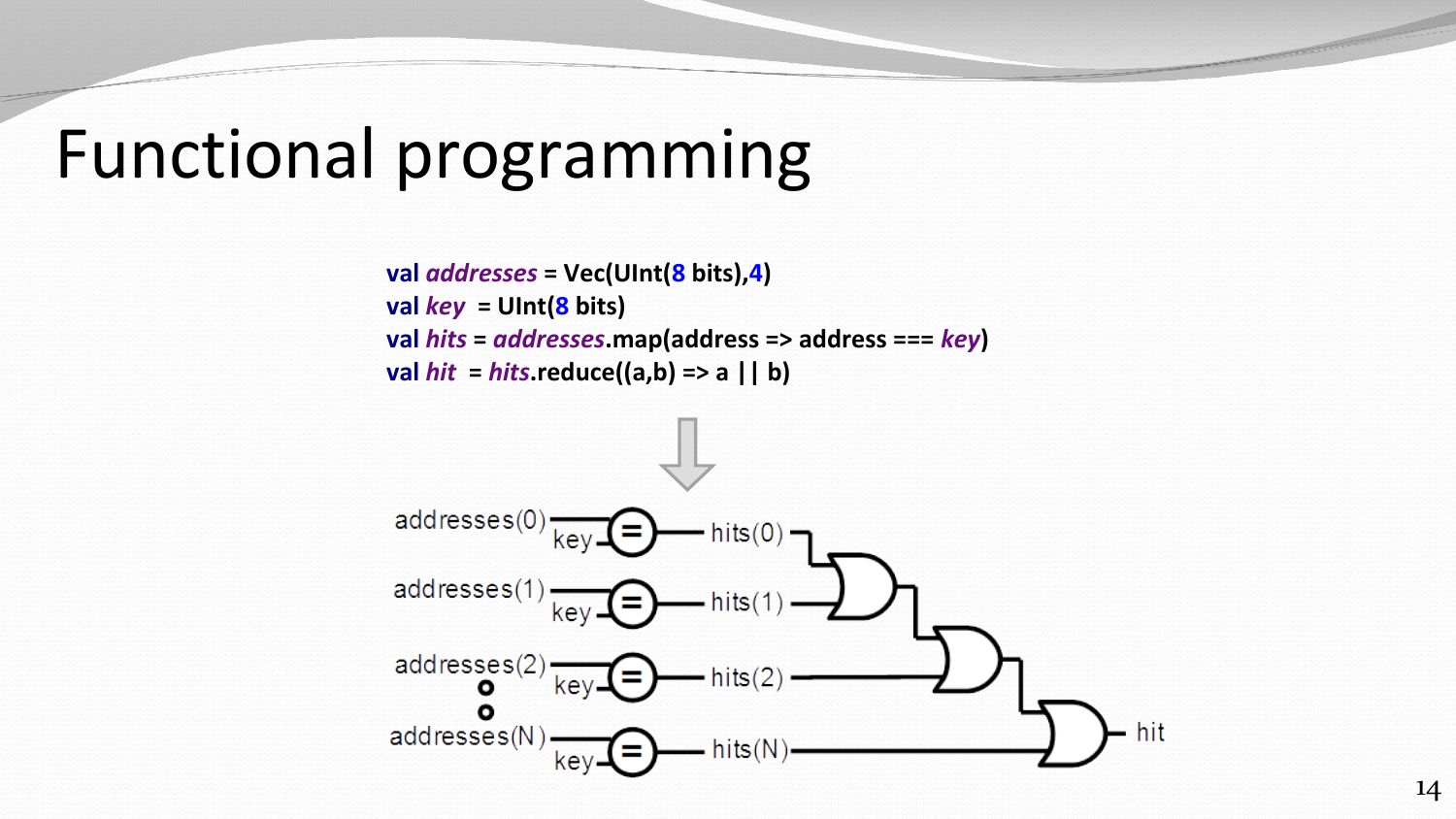## Functional programming

**val** *addresses* **= Vec(UInt(8 bits),4) val** *key* **= UInt(8 bits) val** *hits* **=** *addresses***.map(address => address ===** *key***) val** *hit* **=** *hits***.reduce((a,b) => a || b)**

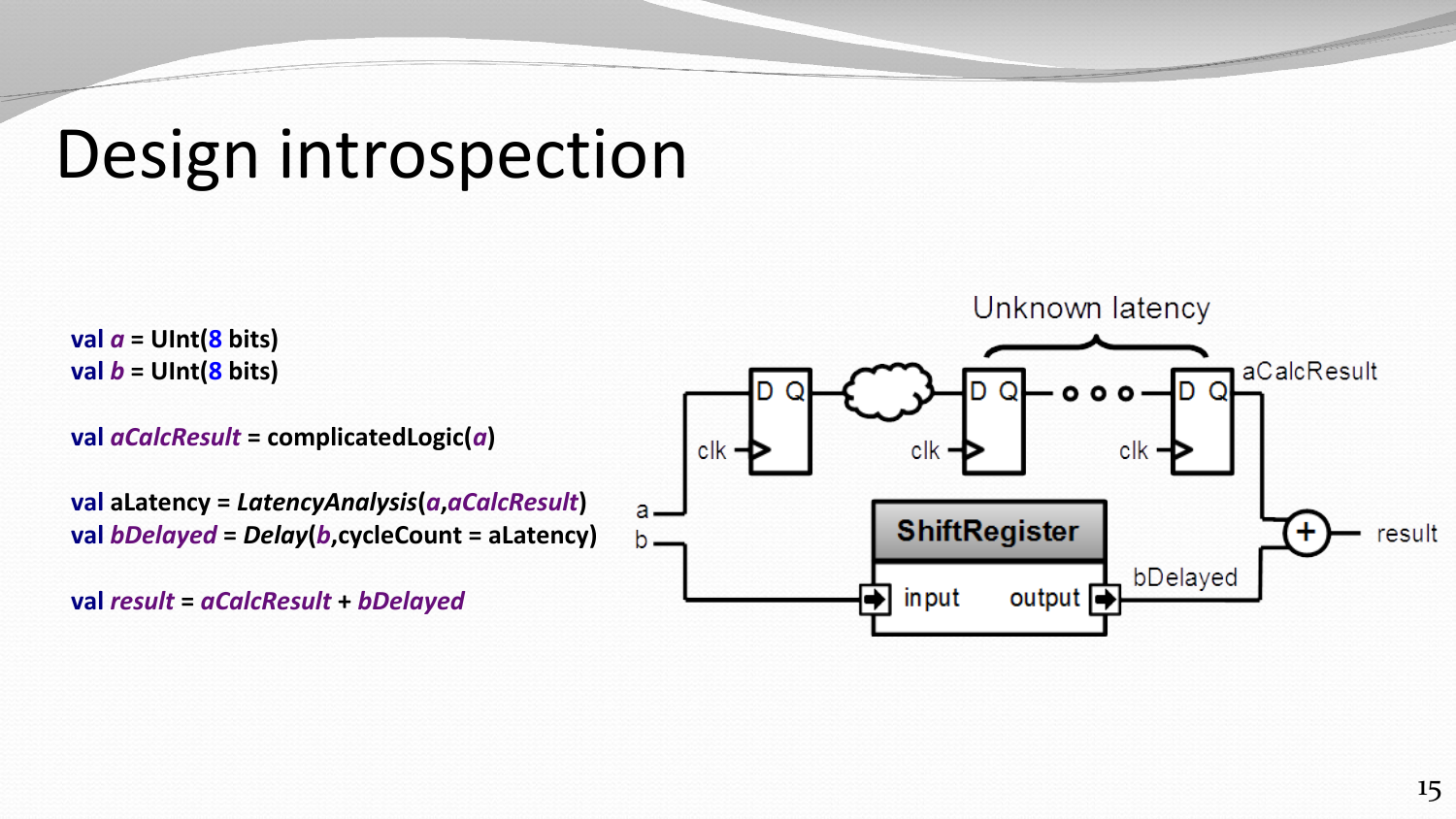## Design introspection

**val** *a* **= UInt(8 bits) val** *b* **= UInt(8 bits)**

**val** *aCalcResult* **= complicatedLogic(***a***)**

**val aLatency =** *LatencyAnalysis***(***a***,***aCalcResult***) val** *bDelayed* **=** *Delay***(***b***,cycleCount = aLatency)**

**val** *result* **=** *aCalcResult* **+** *bDelayed*

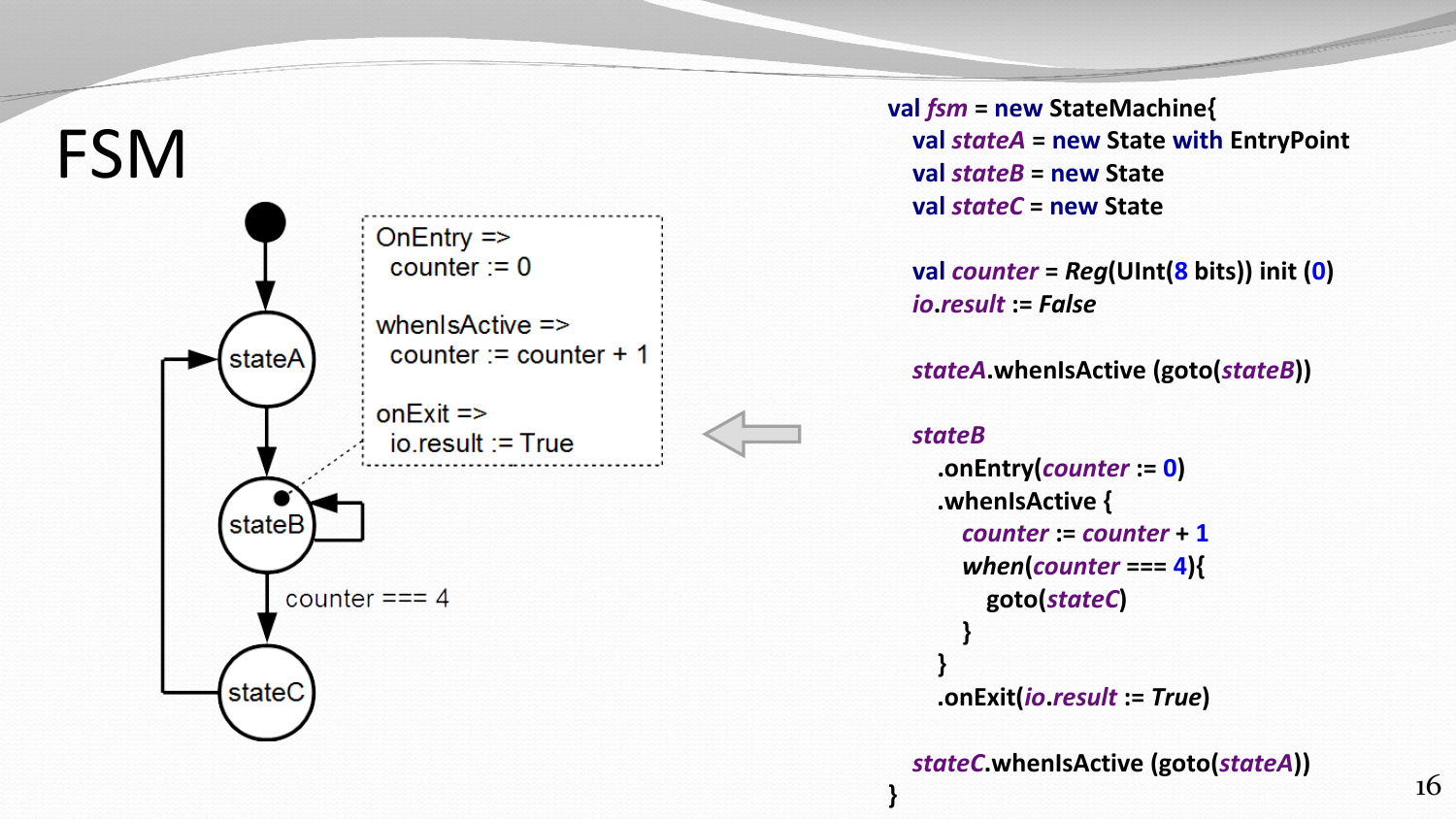

**val** *fsm* **= new StateMachine{ val** *stateA* **= new State with EntryPoint val** *stateB* **= new State val** *stateC* **= new State**

 **val** *counter* **=** *Reg***(UInt(8 bits)) init ( 0 )** *io* **.***result* **:=** *False*

 *stateA***.whenIsActive (goto(***stateB***))**

#### *stateB*

**}**

**.onEntry(***counter* **:= 0 ) .whenIsActive {** *counter* **:=** *counter* **+ 1** *when* **(***counter* **=== 4){ goto(***stateC* **) } } .onExit(***io* **.***result* **:=** *True* **)**

*stateC***.whenIsActive (goto(***stateA***))**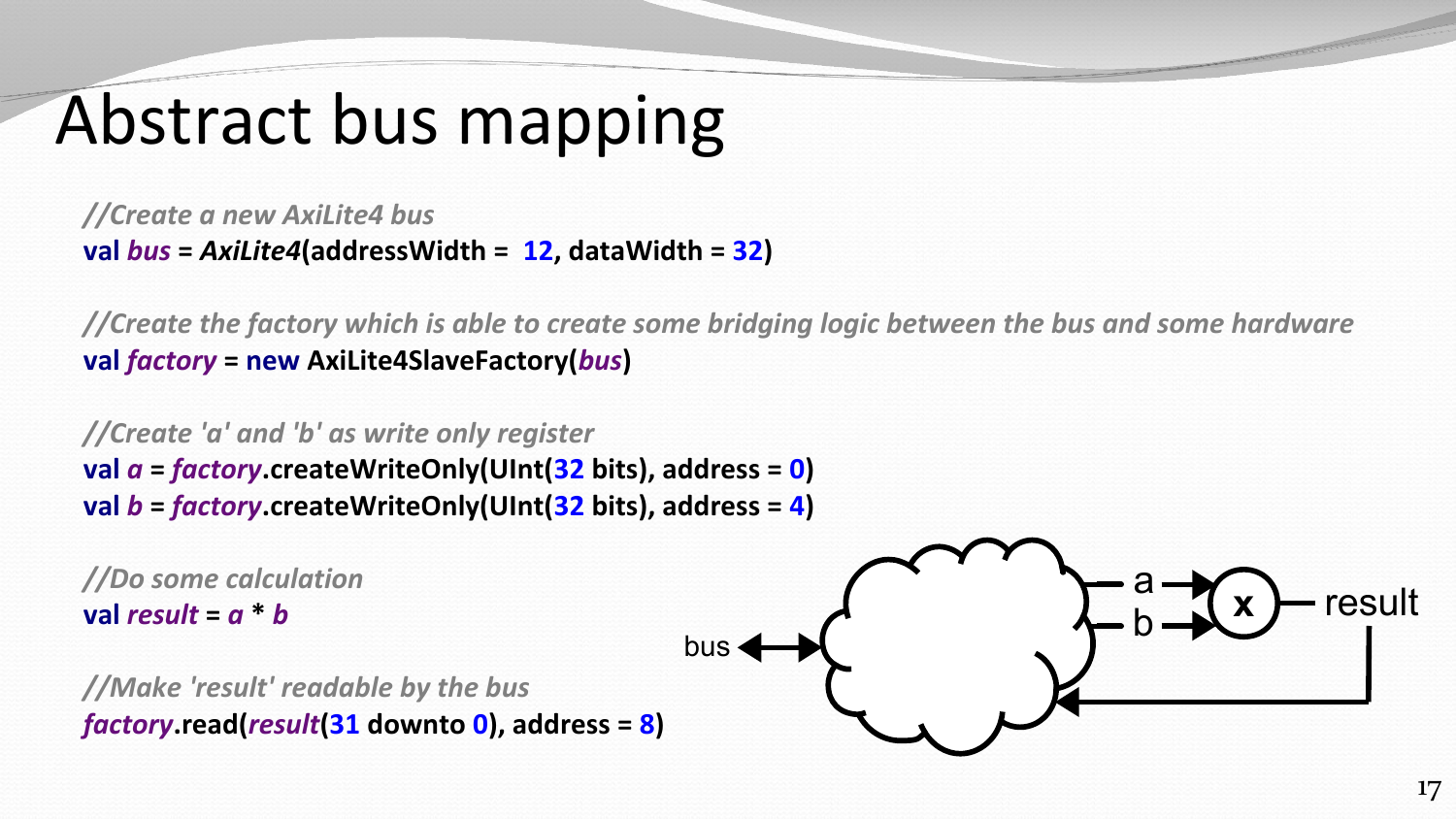# Abstract bus mapping

*//Create a new AxiLite4 bus* **val** *bus* **=** *AxiLite4***(addressWidth = 12, dataWidth = 32)**

*//Create the factory which is able to create some bridging logic between the bus and some hardware* **val** *factory* **= new AxiLite4SlaveFactory(***bus***)**

*//Create 'a' and 'b' as write only register* **val** *a* **=** *factory***.createWriteOnly(UInt(32 bits), address = 0) val** *b* **=** *factory***.createWriteOnly(UInt(32 bits), address = 4)**

*//Do some calculation* **val result =**  $a * b$ *//Make 'result' readable by the bus factory***.read(***result***(31 downto 0), address = 8) x** bus a b result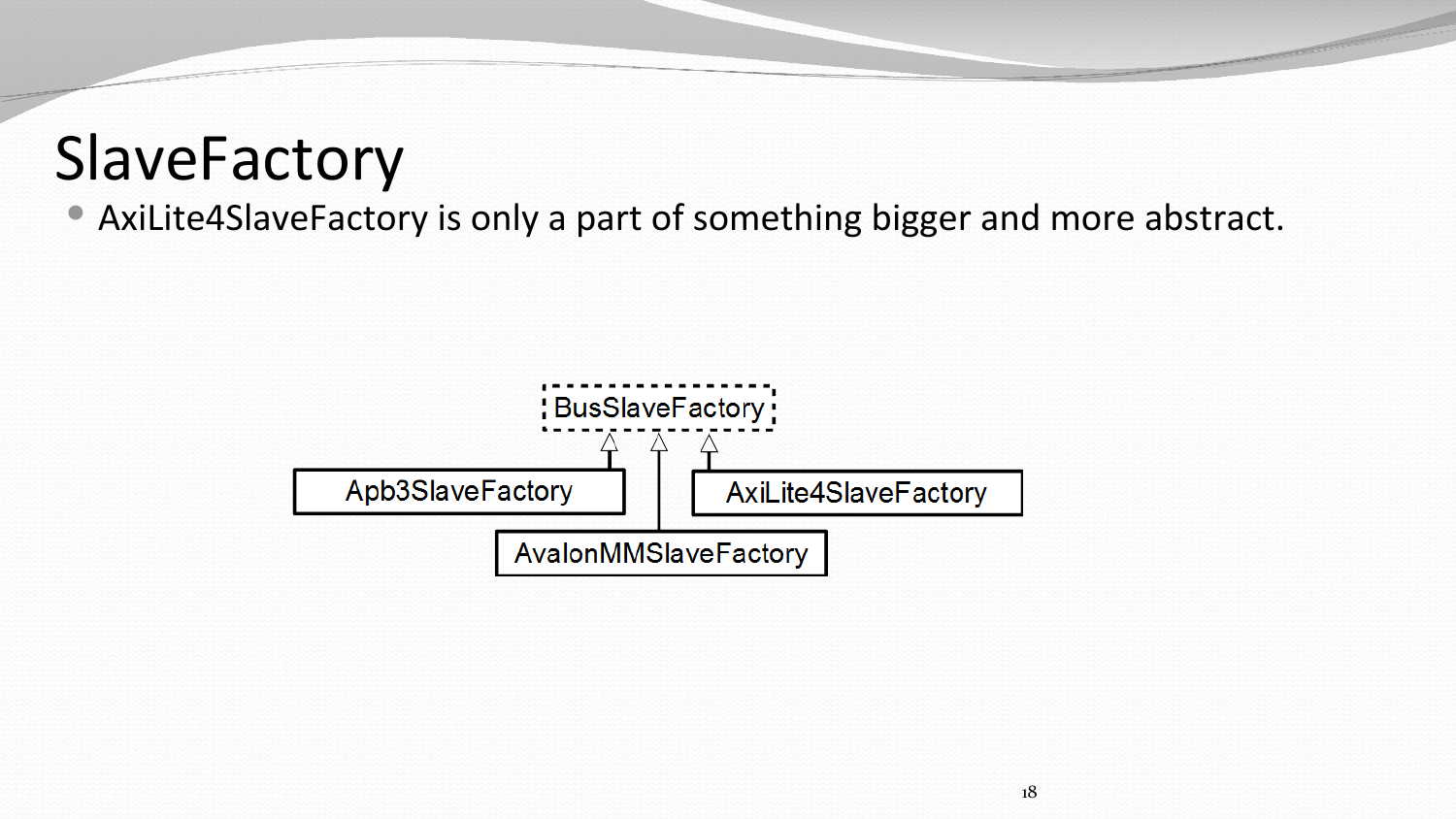## SlaveFactory

AxiLite4SlaveFactory is only a part of something bigger and more abstract.

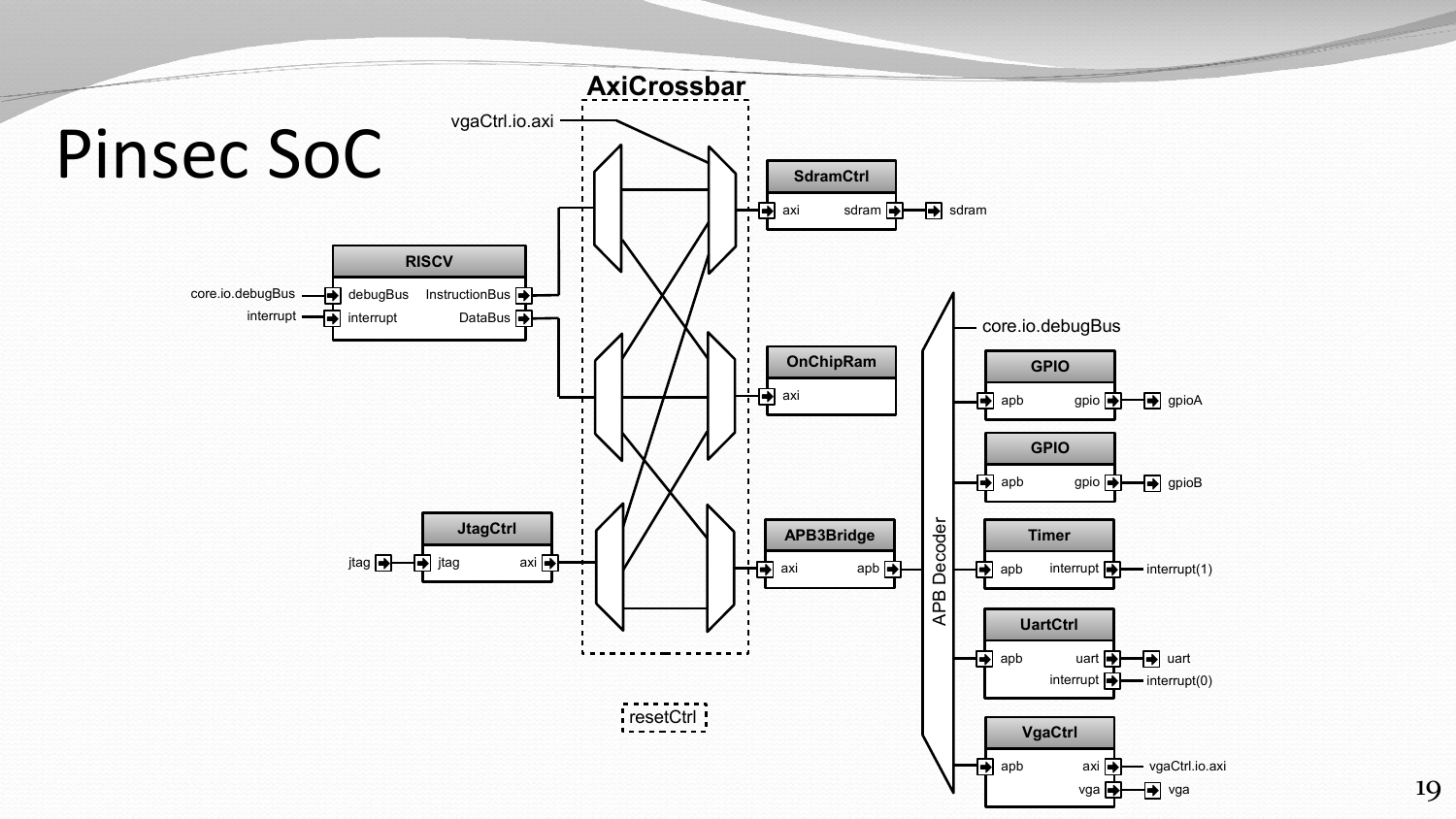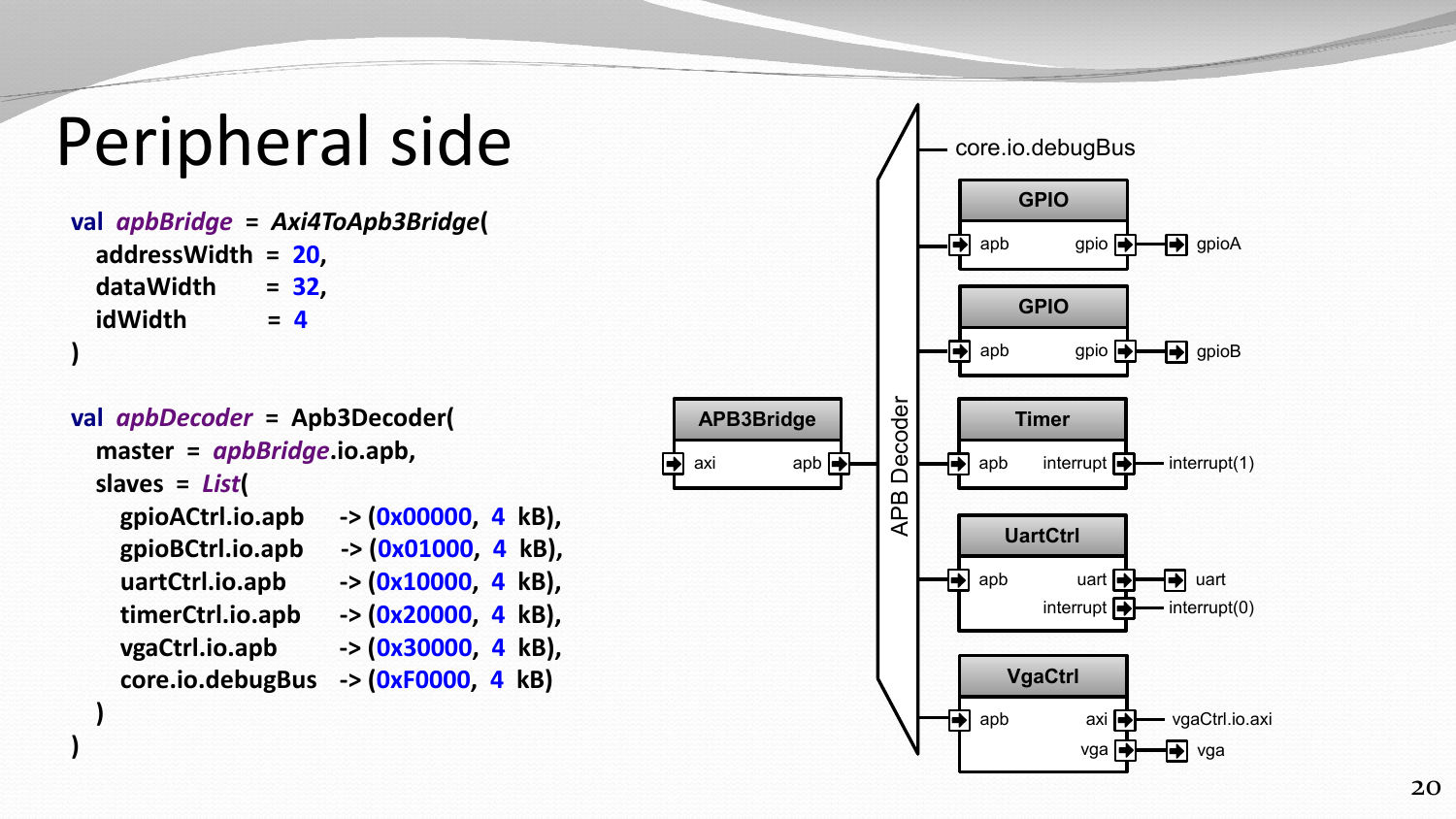# Peripheral side

**val** *apbBridge* **=** *Axi4ToApb3Bridge* **( addressWidth = 20 , dataWidth = 32**  $= 32,$  **idWidth =**   $= 4$ **)**

```
val apbDecoder = Apb3Decoder(
   master = apbBridge.io.apb,
 slaves = List
(
     gpioACtrl.io.apb -> (0x00000, 4 kB),
     gpioBCtrl.io.apb -> (0x01000, 4 kB),
     uartCtrl.io.apb -> (0x10000, 4 kB),
     timerCtrl.io.apb -> (0x20000, 4 kB),
     vgaCtrl.io.apb -> (0x30000, 4 kB),
```
 **core.io.debugBus -> (0xF0000, 4 kB)**

 **)**

**)**

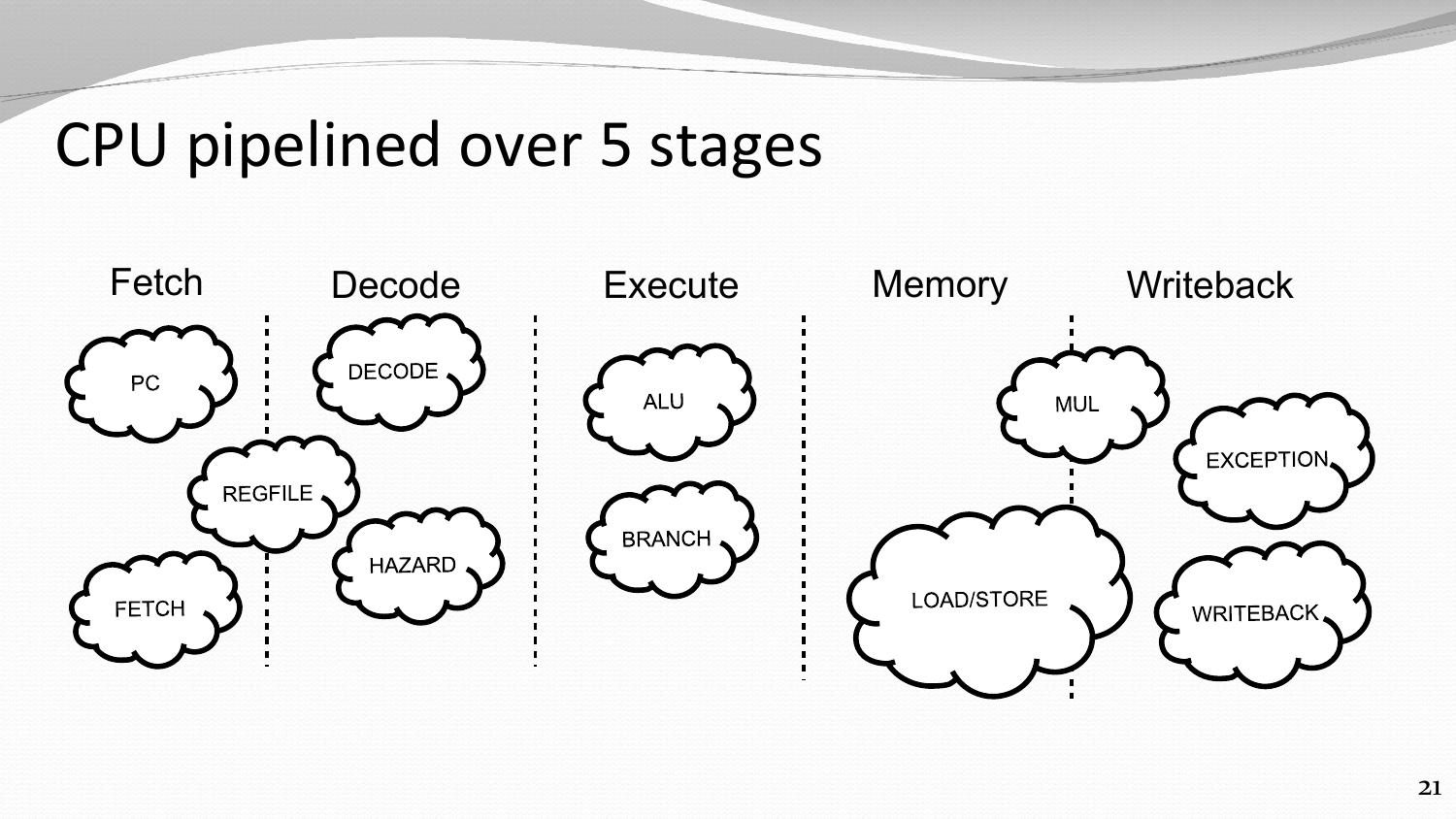### CPU pipelined over 5 stages

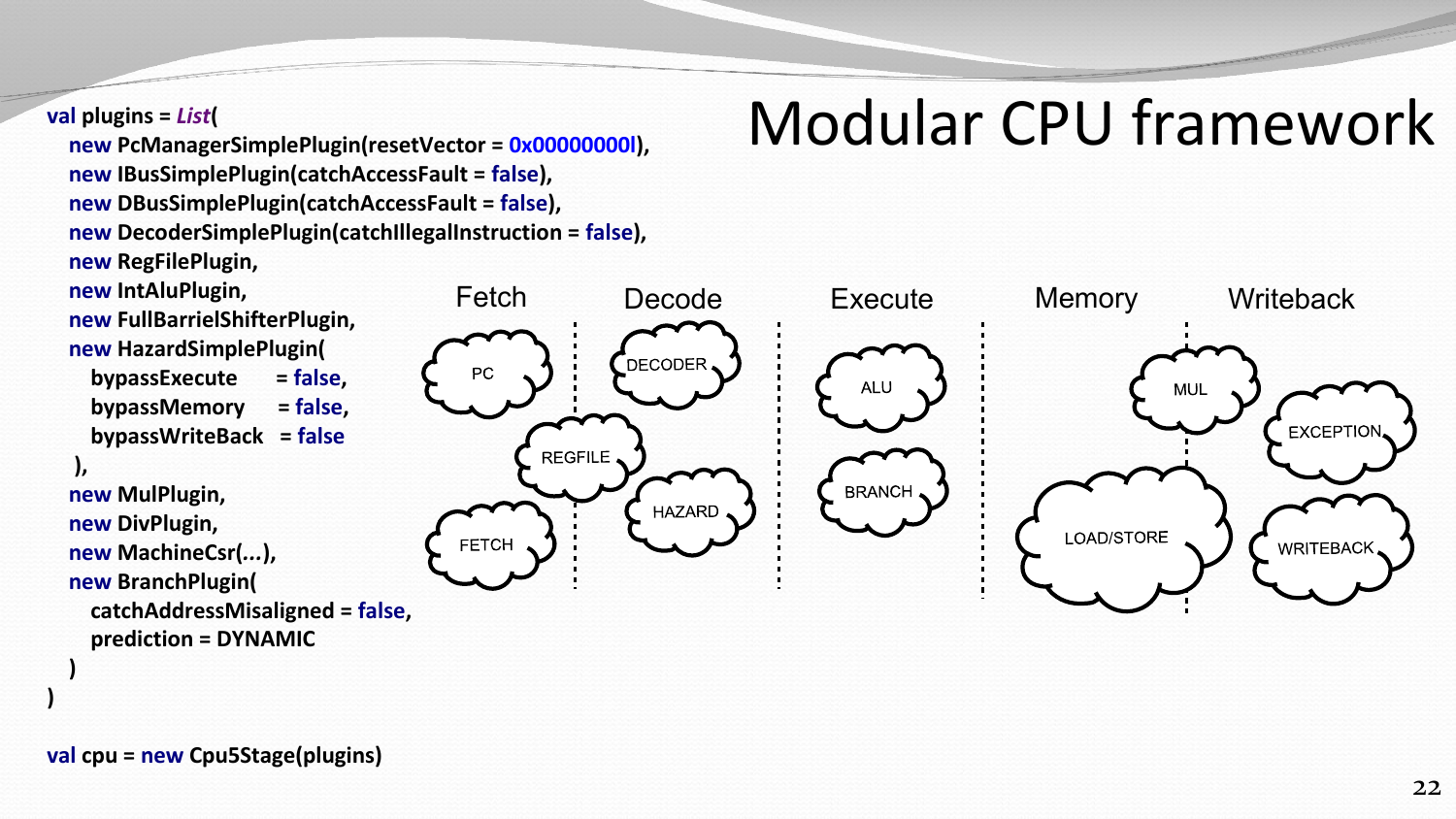#### **val plugins =** *List***(**

 **new PcManagerSimplePlugin(resetVector = 0x00000000l), new IBusSimplePlugin(catchAccessFault = false), new DBusSimplePlugin(catchAccessFault = false), new DecoderSimplePlugin(catchIllegalInstruction = false), new RegFilePlugin,**

 **new IntAluPlugin,**

 **new FullBarrielShifterPlugin,**

```
 new HazardSimplePlugin(
   bypassExecute = false,
```
 **bypassMemory = false,**

 **bypassWriteBack = false**

```
 ),
```
 **)**

**)**

 **new MulPlugin, new DivPlugin,**

 **new MachineCsr(***...***),**

 **new BranchPlugin(**

 **catchAddressMisaligned = false, prediction = DYNAMIC**



# Modular CPU framework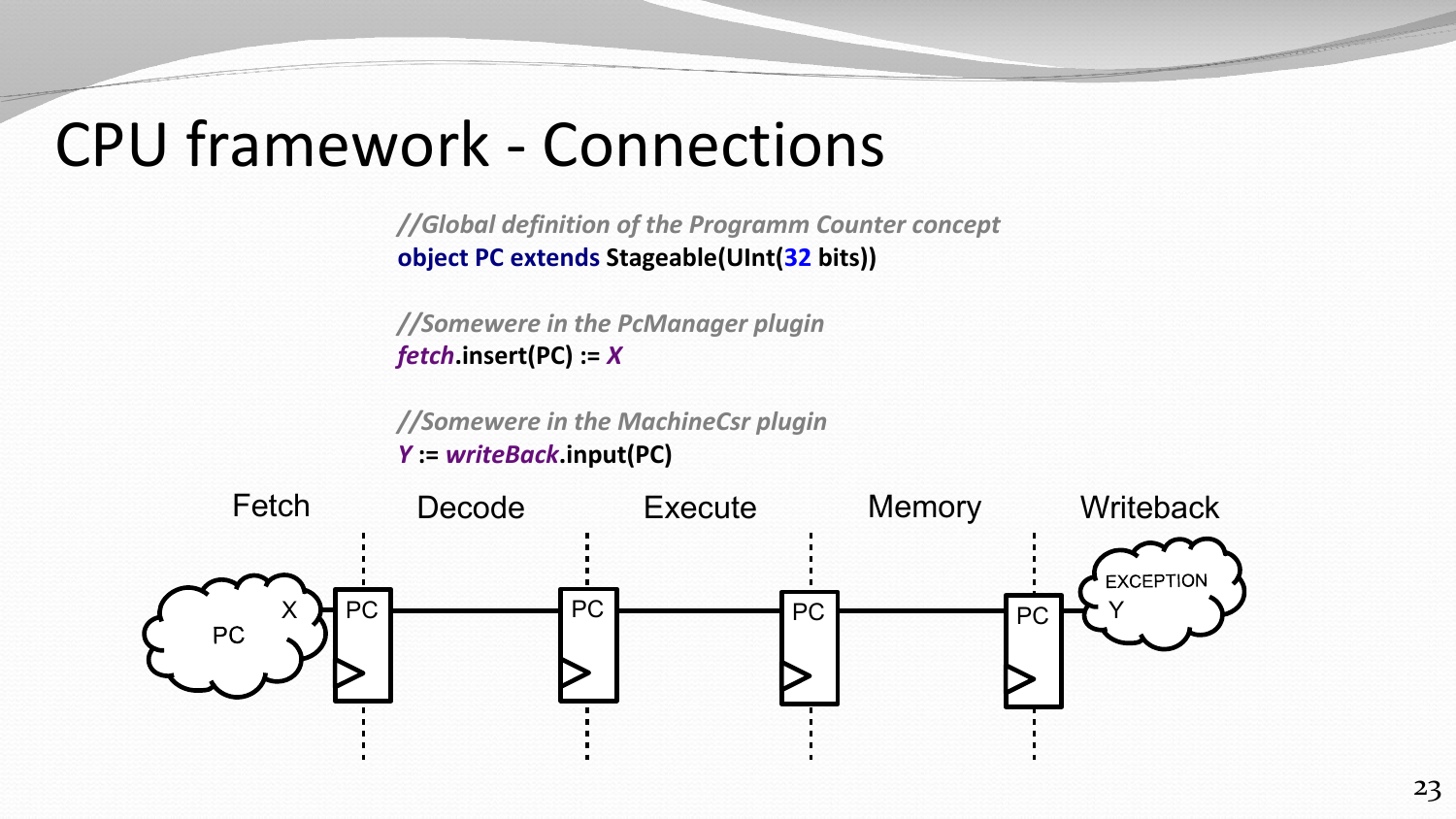## CPU framework - Connections

*//Global definition of the Programm Counter concept* **object PC extends Stageable(UInt(32 bits))**

*//Somewere in the PcManager plugin fetch***.insert(PC) :=** *X*

*//Somewere in the MachineCsr plugin Y* **:=** *writeBack***.input(PC)**

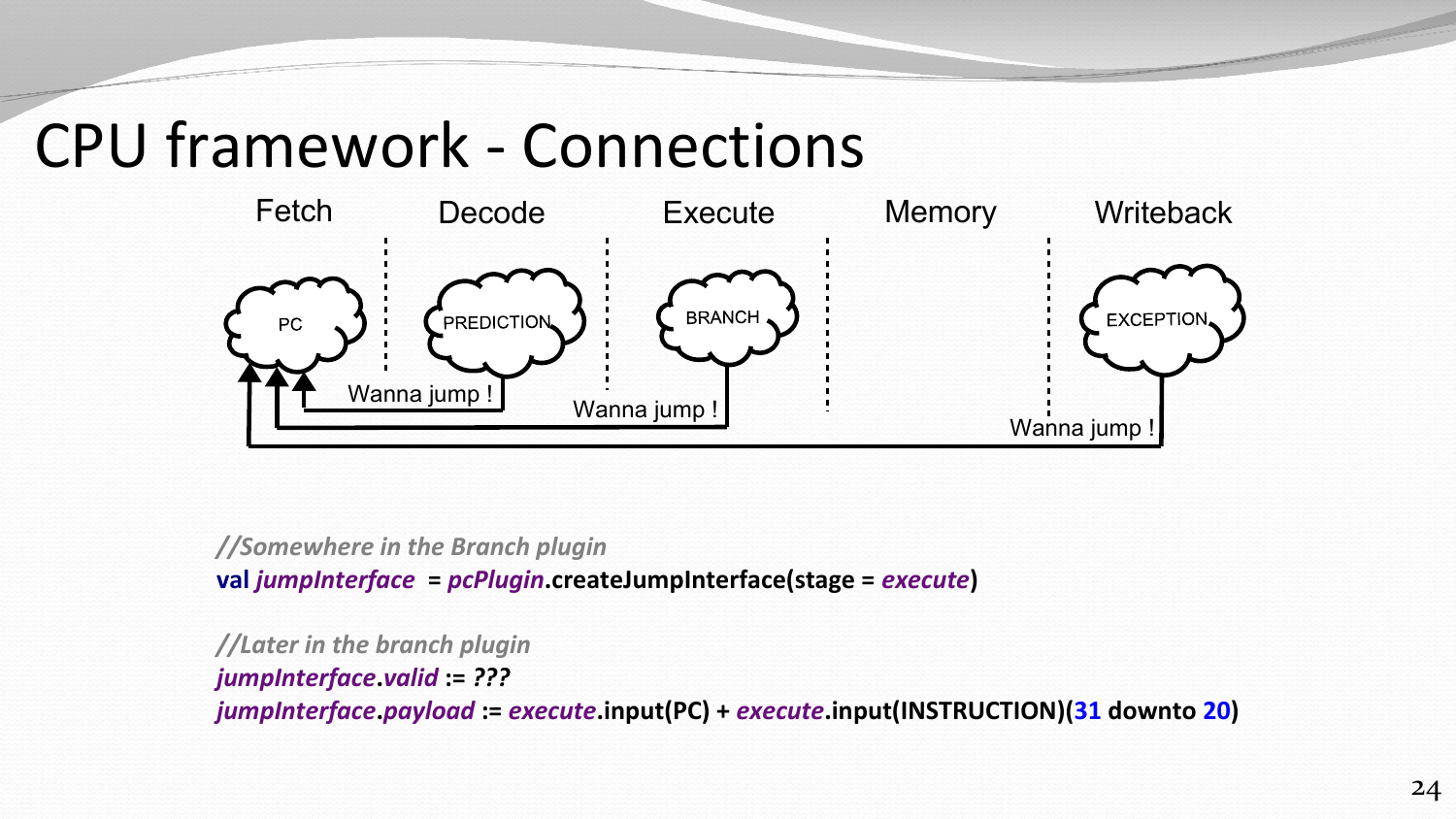## CPU framework - Connections



*//Somewhere in the Branch plugin* **val** *jumpInterface* **=** *pcPlugin***.createJumpInterface(stage =** *execute***)**

*//Later in the branch plugin jumpInterface***.***valid* **:=** *??? jumpInterface***.***payload* **:=** *execute***.input(PC) +** *execute***.input(INSTRUCTION)(31 downto 20)**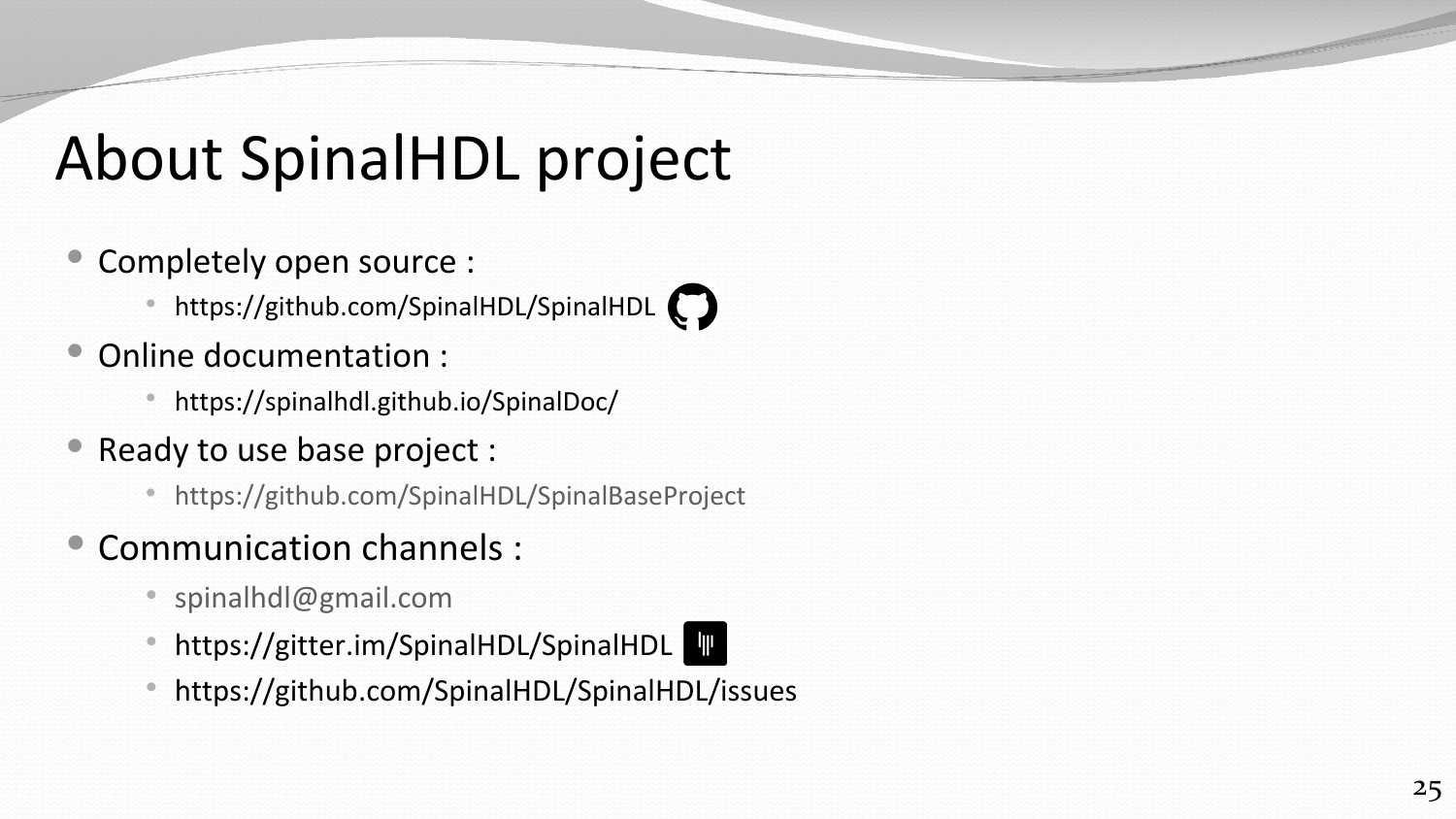# About SpinalHDL project

- Completely open source :
	- https://github.com/SpinalHDL/SpinalHDL
- Online documentation :
	- https://spinalhdl.github.io/SpinalDoc/
- Ready to use base project :
	- <https://github.com/SpinalHDL/SpinalBaseProject>
- Communication channels :
	- [spinalhdl@gmail.com](mailto:spinalhdl@gmail.com)
	- https://gitter.im/SpinalHDL/SpinalHDL
	- https://github.com/SpinalHDL/SpinalHDL/issues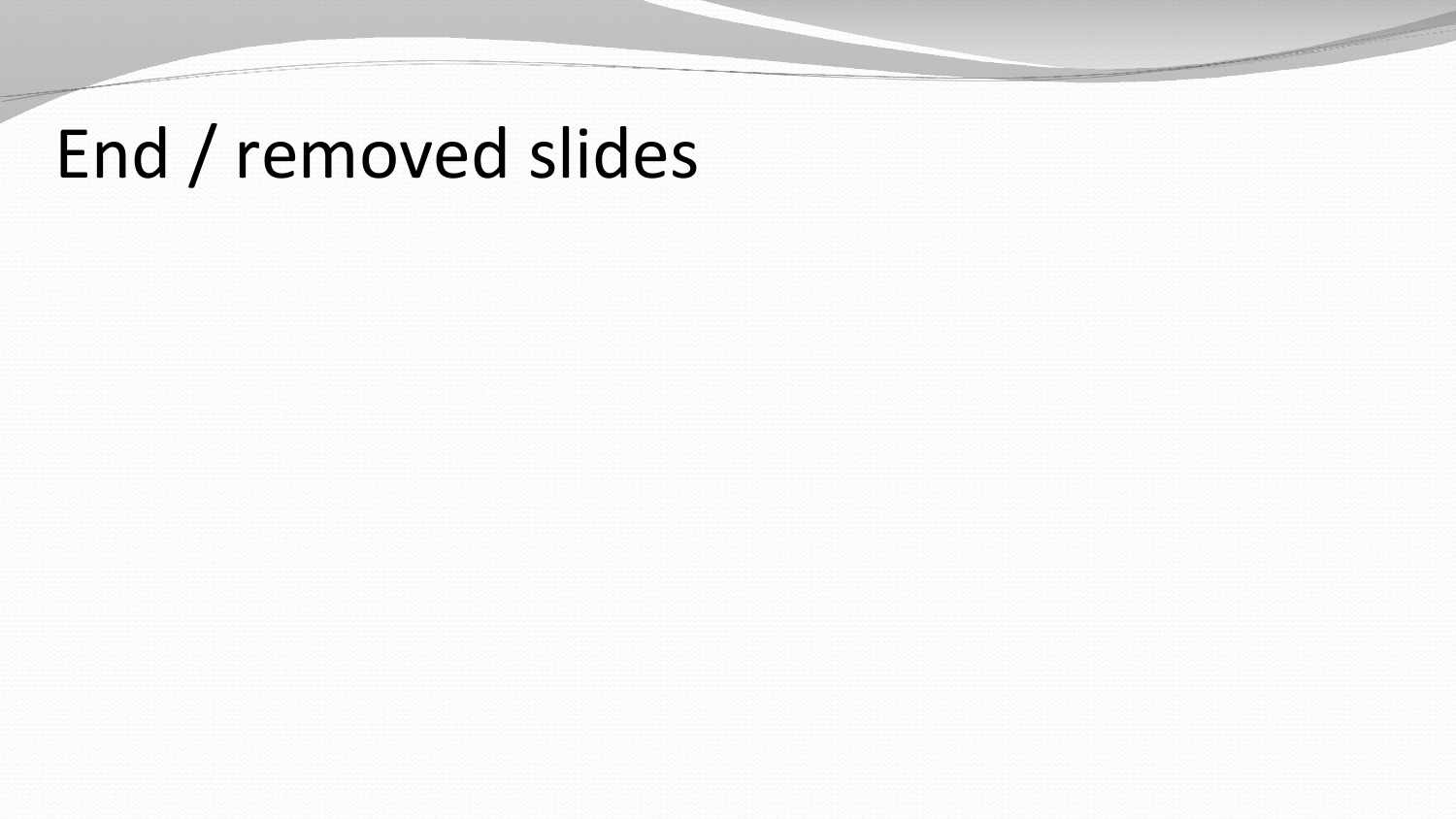# End / removed slides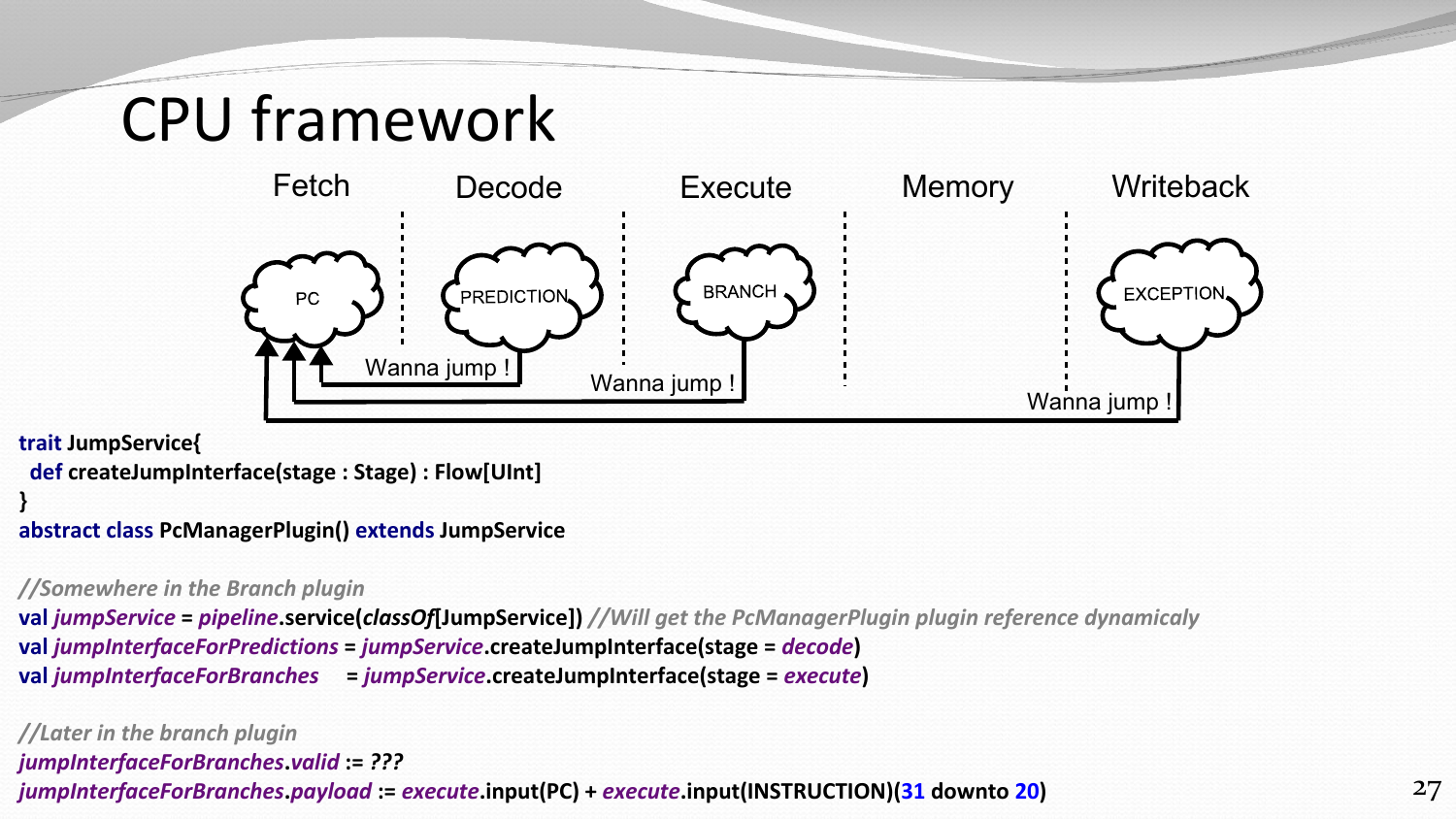# CPU framework



#### **trait JumpService{**

```
 def createJumpInterface(stage : Stage) : Flow[UInt]
```
#### **} abstract class PcManagerPlugin() extends JumpService**

#### *//Somewhere in the Branch plugin*

**val** *jumpService* **=** *pipeline***.service(***classOf***[JumpService])** *//Will get the PcManagerPlugin plugin reference dynamicaly* **val** *jumpInterfaceForPredictions* **=** *jumpService***.createJumpInterface(stage =** *decode***) val** *jumpInterfaceForBranches* **=** *jumpService***.createJumpInterface(stage =** *execute***)**

#### *//Later in the branch plugin jumpInterfaceForBranches***.***valid* **:=** *??? jumpInterfaceForBranches***.***payload* **:=** *execute***.input(PC) +** *execute***.input(INSTRUCTION)(31 downto 20)**